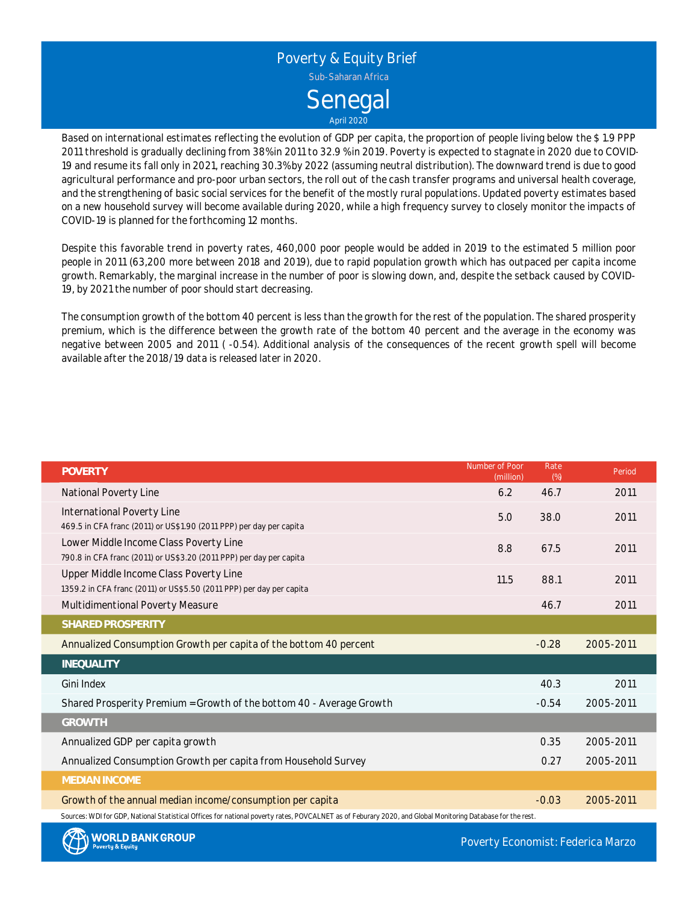

Based on international estimates reflecting the evolution of GDP per capita, the proportion of people living below the \$ 1.9 PPP 2011 threshold is gradually declining from 38% in 2011 to 32.9 % in 2019. Poverty is expected to stagnate in 2020 due to COVID-19 and resume its fall only in 2021, reaching 30.3% by 2022 (assuming neutral distribution). The downward trend is due to good agricultural performance and pro-poor urban sectors, the roll out of the cash transfer programs and universal health coverage, and the strengthening of basic social services for the benefit of the mostly rural populations. Updated poverty estimates based on <sup>a</sup> new household survey will become available during 2020, while <sup>a</sup> high frequency survey to closely monitor the impacts of COVID-19 is planned for the forthcoming 12 months.

Despite this favorable trend in poverty rates, 460,000 poor people would be added in 2019 to the estimated 5 million poor people in 2011 (63,200 more between 2018 and 2019), due to rapid population growth which has outpaced per capita income growth. Remarkably, the marginal increase in the number of poor is slowing down, and, despite the setback caused by COVID-19, by 2021 the number of poor should start decreasing.

The consumption growth of the bottom 40 percent is less than the growth for the rest of the population. The shared prosperity premium, which is the difference between the growth rate of the bottom 40 percent and the average in the economy was negative between 2005 and 2011 ( -0.54). Additional analysis of the consequences of the recent growth spell will become available after the 2018/19 data is released later in 2020.

| <b>POVERTY</b>                                                                                                                                             | Number of Poor<br>(million) | Rate<br>(%) | Period    |  |  |  |  |
|------------------------------------------------------------------------------------------------------------------------------------------------------------|-----------------------------|-------------|-----------|--|--|--|--|
| National Poverty Line                                                                                                                                      | 6.2                         | 46.7        | 2011      |  |  |  |  |
| International Poverty Line                                                                                                                                 | 5.0                         | 38.0        | 2011      |  |  |  |  |
| 469.5 in CFA franc (2011) or US\$1.90 (2011 PPP) per day per capita                                                                                        |                             |             |           |  |  |  |  |
| Lower Middle Income Class Poverty Line                                                                                                                     | 8.8                         | 67.5        | 2011      |  |  |  |  |
| 790.8 in CFA franc (2011) or US\$3.20 (2011 PPP) per day per capita                                                                                        |                             |             |           |  |  |  |  |
| Upper Middle Income Class Poverty Line                                                                                                                     | 11.5                        | 88.1        | 2011      |  |  |  |  |
| 1359.2 in CFA franc (2011) or US\$5.50 (2011 PPP) per day per capita                                                                                       |                             |             |           |  |  |  |  |
| Multidimentional Poverty Measure                                                                                                                           |                             | 46.7        | 2011      |  |  |  |  |
| SHARED PROSPERITY                                                                                                                                          |                             |             |           |  |  |  |  |
| Annualized Consumption Growth per capita of the bottom 40 percent                                                                                          |                             | $-0.28$     | 2005-2011 |  |  |  |  |
| INEQUALITY                                                                                                                                                 |                             |             |           |  |  |  |  |
| Gini Index                                                                                                                                                 |                             | 40.3        | 2011      |  |  |  |  |
| Shared Prosperity Premium = Growth of the bottom 40 - Average Growth                                                                                       |                             | $-0.54$     | 2005-2011 |  |  |  |  |
| <b>GROWTH</b>                                                                                                                                              |                             |             |           |  |  |  |  |
| Annualized GDP per capita growth                                                                                                                           |                             | 0.35        | 2005-2011 |  |  |  |  |
| Annualized Consumption Growth per capita from Household Survey                                                                                             |                             | 0.27        | 2005-2011 |  |  |  |  |
| <b>MEDIAN INCOME</b>                                                                                                                                       |                             |             |           |  |  |  |  |
| Growth of the annual median income/consumption per capita                                                                                                  |                             | $-0.03$     | 2005-2011 |  |  |  |  |
| Sources: WDI for GDP, National Statistical Offices for national poverty rates, POVCALNET as of Feburary 2020, and Global Monitoring Database for the rest. |                             |             |           |  |  |  |  |